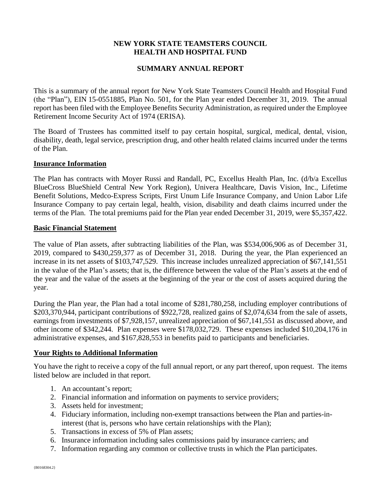# **NEW YORK STATE TEAMSTERS COUNCIL HEALTH AND HOSPITAL FUND**

# **SUMMARY ANNUAL REPORT**

This is a summary of the annual report for New York State Teamsters Council Health and Hospital Fund (the "Plan"), EIN 15-0551885, Plan No. 501, for the Plan year ended December 31, 2019. The annual report has been filed with the Employee Benefits Security Administration, as required under the Employee Retirement Income Security Act of 1974 (ERISA).

The Board of Trustees has committed itself to pay certain hospital, surgical, medical, dental, vision, disability, death, legal service, prescription drug, and other health related claims incurred under the terms of the Plan.

### **Insurance Information**

The Plan has contracts with Moyer Russi and Randall, PC, Excellus Health Plan, Inc. (d/b/a Excellus BlueCross BlueShield Central New York Region), Univera Healthcare, Davis Vision, Inc., Lifetime Benefit Solutions, Medco-Express Scripts, First Unum Life Insurance Company, and Union Labor Life Insurance Company to pay certain legal, health, vision, disability and death claims incurred under the terms of the Plan. The total premiums paid for the Plan year ended December 31, 2019, were \$5,357,422.

### **Basic Financial Statement**

The value of Plan assets, after subtracting liabilities of the Plan, was \$534,006,906 as of December 31, 2019, compared to \$430,259,377 as of December 31, 2018. During the year, the Plan experienced an increase in its net assets of \$103,747,529. This increase includes unrealized appreciation of \$67,141,551 in the value of the Plan's assets; that is, the difference between the value of the Plan's assets at the end of the year and the value of the assets at the beginning of the year or the cost of assets acquired during the year.

During the Plan year, the Plan had a total income of \$281,780,258, including employer contributions of \$203,370,944, participant contributions of \$922,728, realized gains of \$2,074,634 from the sale of assets, earnings from investments of \$7,928,157, unrealized appreciation of \$67,141,551 as discussed above, and other income of \$342,244. Plan expenses were \$178,032,729. These expenses included \$10,204,176 in administrative expenses, and \$167,828,553 in benefits paid to participants and beneficiaries.

## **Your Rights to Additional Information**

You have the right to receive a copy of the full annual report, or any part thereof, upon request. The items listed below are included in that report.

- 1. An accountant's report;
- 2. Financial information and information on payments to service providers;
- 3. Assets held for investment;
- 4. Fiduciary information, including non-exempt transactions between the Plan and parties-ininterest (that is, persons who have certain relationships with the Plan);
- 5. Transactions in excess of 5% of Plan assets;
- 6. Insurance information including sales commissions paid by insurance carriers; and
- 7. Information regarding any common or collective trusts in which the Plan participates.